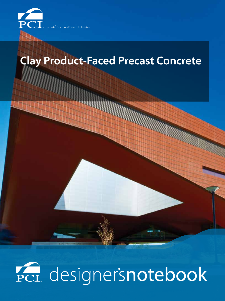

cast/Prestressed Concrete Institute

# **Clay Product-Faced Precast Concrete**

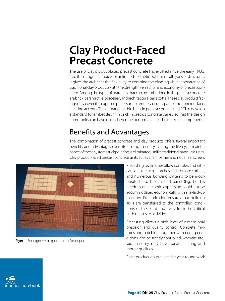# **Clay Product-Faced Precast Concrete**

The use of clay product-faced precast concrete has evolved since the early 1960s into the designer's choice for unlimited aesthetic options on all types of structures. It gives the architect the flexibility to combine the pleasing visual appearance of traditional clay products with the strength, versatility, and economy of precast concrete. Among the types of materials that can be embedded in the precast concrete are brick, ceramic tile, porcelain, and architectural terra cotta. These clay product facings may cover the exposed panel surface entirely or only part of the concrete face, creating accents. The demand for thin brick in precast concrete led PCI to develop a standard for embedded thin brick in precast concrete panels so that the design community can have control over the performance of their precast components.

# Benefits and Advantages

The combination of precast concrete and clay products offers several important benefits and advantages over site-laid-up masonry. During the life cycle maintenance of these systems tuckpointing is eliminated, unlike traditional hand-laid units. Clay product-faced precast concrete units act as a rain barrier and not a rain screen.



**Figure 1** Bonding patterns incorporated into the finished panel.

Precasting techniques allow complex and intricate details such as arches, radii, ornate corbels, and numerous bonding patterns to be incorporated into the finished panel (Fig. 1). This freedom of aesthetic expression could not be accommodated economically with site-laid-up masonry. Prefabrication ensures that building skills are transferred to the controlled conditions of the plant and away from the critical path of on-site activities.

Precasting allows a high level of dimensional precision and quality control. Concrete mixtures and batching, together with curing conditions, can be tightly controlled, whereas sitelaid masonry may have variable curing and mortar qualities.

Plant production provides for year-round work

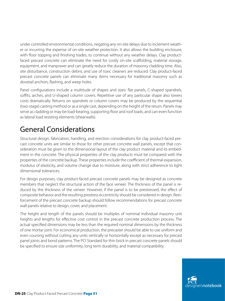under controlled environmental conditions, negating any on-site delays due to inclement weather or incurring the expense of on-site weather protection. It also allows the building enclosure, with floor topping and finishing trades, to continue without any weather delays. Clay productfaced precast concrete can eliminate the need for costly on-site scaffolding, material storage, equipment, and manpower and can greatly reduce the duration of masonry cladding time. Also, site disturbance, construction debris, and use of toxic cleaners are reduced. Clay product-faced precast concrete panels can eliminate many items necessary for traditional masonry such as dovetail anchors, flashing, and weep holes.

Panel configurations include a multitude of shapes and sizes: flat panels, C-shaped spandrels, soffits, arches, and U-shaped column covers. Repetitive use of any particular shape also lowers costs dramatically. Returns on spandrels or column covers may be produced by the sequential (two-stage) casting method or as a single cast, depending on the height of the return. Panels may serve as cladding or may be load-bearing, supporting floor and roof loads, and can even function as lateral load resisting elements (shearwalls).

## General Considerations

Structural design, fabrication, handling, and erection considerations for clay product-faced precast concrete units are similar to those for other precast concrete wall panels, except that consideration must be given to the dimensional layout of the clay product material and its embedment in the concrete. The physical properties of the clay products must be compared with the properties of the concrete backup. These properties include the coefficient of thermal expansion, modulus of elasticity, and volume change due to moisture, along with strict adherence to tight dimensional tolerances.

For design purposes, clay product-faced precast concrete panels may be designed as concrete members that neglect the structural action of the face veneer. The thickness of the panel is reduced by the thickness of the veneer. However, if the panel is to be prestressed, the effect of composite behavior and the resulting prestress eccentricity should be considered in design. Reinforcement of the precast concrete backup should follow recommendations for precast concrete wall panels relative to design, cover, and placement.

The height and length of the panels should be multiples of nominal individual masonry unit heights and lengths for effective cost control in the precast concrete production process. The actual specified dimensions may be less than the required nominal dimensions by the thickness of one mortar joint. For economical production, the precaster should be able to use uniform and even coursing without cutting any units vertically or horizontally except as necessary for precast panel joints and bond patterns. The PCI Standard for thin brick in precast concrete panels should be specified to ensure size uniformity, long term durability, and material compatibility.

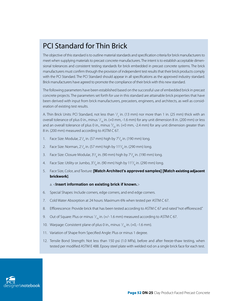#### PCI Standard for Thin Brick

The objective of this standard is to outline material standards and specification criteria for brick manufacturers to meet when supplying materials to precast concrete manufacturers. The intent is to establish acceptable dimensional tolerances and consistent testing standards for brick embedded in precast concrete systems. The brick manufacturers must confirm through the provision of independent test results that their brick products comply with the PCI Standard. The PCI Standard should appear in all specifications as the approved industry standard. Brick manufacturers have agreed to promote the compliance of their brick with this new standard.

The following parameters have been established based on the successful use of embedded brick in precast concrete projects. The parameters set forth for use in this standard are attainable brick properties that have been derived with input from brick manufacturers, precasters, engineers, and architects, as well as consideration of existing test results.

A. Thin Brick Units: PCI Standard, not less than  $\frac{1}{2}$  in. (13 mm) nor more than 1 in. (25 mm) thick with an overall tolerance of plus 0 in., minus 1/<sub>16</sub> in. (+0 mm, -1.6 mm) for any unit dimension 8 in. (200 mm) or less and an overall tolerance of plus 0 in., minus  $\frac{3}{32}$  in. (+0 mm, -2.4 mm) for any unit dimension greater than 8 in. (200 mm) measured according to ASTM C 67.

- 1. Face Size: Modular,  $2\frac{1}{4}$  in. (57 mm) high by  $7\frac{5}{8}$  in. (190 mm) long.
- 2. Face Size: Norman, 2 $\frac{1}{4}$  in. (57 mm) high by 11 $\frac{5}{8}$  in. (290 mm) long.
- 3. Face Size: Closure Modular, 3<sup>5</sup>/<sub>8</sub> in. (90 mm) high by 7<sup>5</sup>/<sub>8</sub> in. (190 mm) long.
- 4. Face Size: Utility or Jumbo, 3 $\frac{5}{8}$  in. (90 mm) high by 11 $\frac{5}{8}$  in. (290 mm) long.
- 5. Face Size, Color, and Texture: **[Match Architect's approved samples] [Match existing adjacent brickwork]**.

#### a. <**Insert information on existing brick if known.**>

- 6. Special Shapes: Include corners, edge corners, and end edge corners.
- 7. Cold Water Absorption at 24 hours: Maximum 6% when tested per ASTM C 67.
- 8. Efflorescence: Provide brick that has been tested according to ASTM C 67 and rated "not effloresced."
- 9. Out of Square: Plus or minus  $\frac{1}{16}$  in. (+/- 1.6 mm) measured according to ASTM C 67.
- 10. Warpage: Consistent plane of plus 0 in., minus  $V_{16}$  in. (+0, -1.6 mm).
- 11. Variation of Shape from Specified Angle: Plus or minus 1 degree.
- 12. Tensile Bond Strength: Not less than 150 psi (1.0 MPa), before and after freeze-thaw testing, when tested per modified ASTM E 488. Epoxy steel plate with welded rod on a single brick face for each test.

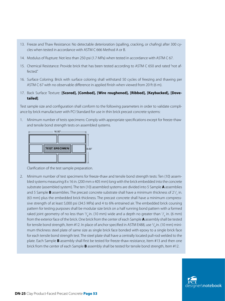- 13. Freeze and Thaw Resistance: No detectable deterioration (spalling, cracking, or chafing) after 300 cycles when tested in accordance with ASTM C 666 Method A or B.
- 14. Modulus of Rupture: Not less than 250 psi (1.7 MPa) when tested in accordance with ASTM C 67.
- 15. Chemical Resistance: Provide brick that has been tested according to ASTM C 650 and rated "not affected."
- 16. Surface Coloring: Brick with surface coloring shall withstand 50 cycles of freezing and thawing per ASTM C 67 with no observable difference in applied finish when viewed from 20 ft (6 m).
- 17. Back Surface Texture: **[Scored], [Combed], [Wire roughened], [Ribbed], [Keybacked], [Dovetailed]**.

Test sample size and configuration shall conform to the following parameters in order to validate compliance by brick manufacturer with PCI Standard for use in thin brick precast concrete systems:

Minimum number of tests specimens: Comply with appropriate specifications except for freeze-thaw and tensile bond strength tests on assembled systems.



Clarification of the test sample preparation.

2. Minimum number of test specimens for freeze-thaw and tensile bond strength tests: Ten (10) assembled systems measuring 8 x 16 in. (200 mm x 405 mm) long with the brick embedded into the concrete substrate (assembled system). The ten (10) assembled systems are divided into 5 Sample **A** assemblies and 5 Sample **B** assemblies. The precast concrete substrate shall have a minimum thickness of 2<sup>1</sup>/<sub>2</sub> in. (63 mm) plus the embedded brick thickness. The precast concrete shall have a minimum compresssive strength of at least 5,000 psi (34.5 MPa) and 4 to 6% entrained air. The embedded brick coursing pattern for testing purposes shall be modular size brick on a half running bond pattern with a formed raked joint geometry of no less than  $\frac{3}{8}$ in. (10 mm) wide and a depth no greater than  $\frac{1}{4}$  in. (6 mm) from the exterior face of the brick. One brick from the center of each Sample **A** assembly shall be tested for tensile bond strength, Item #12. In place of anchor specified in ASTM E488, use  $^3\prime_{\rm g}$ in. (10 mm) minimum thickness steel plate of same size as single brick face bonded with epoxy to a single brick face for each tensile bond strength test. The steel plate shall have a centrally located pull-rod welded to the plate. Each Sample **B** assembly shall first be tested for freeze-thaw resistance, Item #13 and then one brick from the center of each Sample **B** assembly shall be tested for tensile bond strength, Item #12.

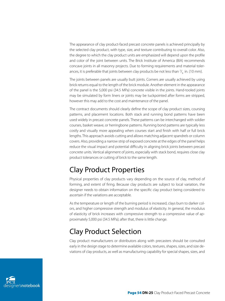The appearance of clay product-faced precast concrete panels is achieved principally by the selected clay product, with type, size, and texture contributing to overall color. Also, the degree to which the clay product units are emphasized will depend upon the profile and color of the joint between units. The Brick Institute of America (BIA) recommends concave joints in all masonry projects. Due to forming requirements and material tolerances, it is preferable that joints between clay products be not less than  $^3\prime_{_8}$  in. (10 mm).

The joints between panels are usually butt joints. Corners are usually achieved by using brick returns equal to the length of the brick module. Another element in the appearance of the panel is the 5,000 psi (34.5 MPa) concrete visible in the joints. Hand-tooled joints may be simulated by form liners or joints may be tuckpointed after forms are stripped, however this may add to the cost and maintenance of the panel.

The contract documents should clearly define the scope of clay product sizes, coursing patterns, and placement locations. Both stack and running bond patterns have been used widely in precast concrete panels. These patterns can be interchanged with soldier courses, basket weave, or herringbone patterns. Running bond patterns are typically less costly and visually more appealing when courses start and finish with half or full brick lengths. This approach avoids cutting and allows matching adjacent spandrels or column covers. Also, providing a narrow strip of exposed concrete at the edges of the panel helps reduce the visual impact and potential difficulty in aligning brick joints between precast concrete units. Vertical alignment of joints, especially with stack bond, requires close clay product tolerances or cutting of brick to the same length.

### Clay Product Properties

Physical properties of clay products vary depending on the source of clay, method of forming, and extent of firing. Because clay products are subject to local variation, the designer needs to obtain information on the specific clay product being considered to ascertain if the variations are acceptable.

As the temperature or length of the burning period is increased, clays burn to darker colors, and higher compressive strength and modulus of elasticity. In general, the modulus of elasticity of brick increases with compressive strength to a compressive value of approximately 5,000 psi (34.5 MPa); after that, there is little change.

# Clay Product Selection

Clay product manufacturers or distributors along with precasters should be consulted early in the design stage to determine available colors, textures, shapes, sizes, and size deviations of clay products, as well as manufacturing capability for special shapes, sizes, and

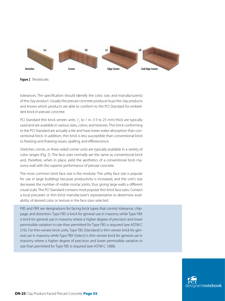

**Figure 2** Thin brick units

tolerances. The specification should identify the color, size, and manufacturer(s) of the clay product. Usually the precast concrete producer buys the clay products and knows which products are able to conform to the PCI Standard for embedded brick in precast concrete.

PCI Standard thin brick veneer units  $\frac{1}{2}$  to 1 in. (13 to 25 mm) thick are typically used and are available in various sizes, colors, and textures. Thin brick conforming to the PCI Standard are actually a tile and have lower water absorption than conventional brick. In addition, thin brick is less susceptible than conventional brick to freezing and thawing issues, spalling, and efflorescence.

Stretcher, corner, or three-sided corner units are typically available in a variety of color ranges (Fig. 2). The face sizes normally are the same as conventional brick and, therefore, when in place, yield the aesthetics of a conventional brick masonry wall with the superior performance of precast concrete.

The most common brick face size is the modular. The utility face size is popular for use in large buildings because productivity is increased, and the unit's size decreases the number of visible mortar joints, thus giving large walls a different visual scale. The PCI Standard contains most popular thin brick face sizes. Contact a local precaster or thin brick manufacturer's representative to determine availability of desired color or texture in the face sizes selected.

FBS and FBX are designations for facing brick types that control tolerance, chippage, and distortion. Type FBS is brick for general use in masonry while Type FBX is brick for general use in masonry where a higher degree of precision and lower permissible variation in size than permitted for Type FBS is required (see ASTM C 216). For thin-veneer brick units, Type TBS (Standard) is thin-veneer brick for general use in masonry while Type TBX (Select) is thin-veneer brick for general use in masonry where a higher degree of precision and lower permissible variation in size than permitted for Type TBS is required (see ASTM C 1088).

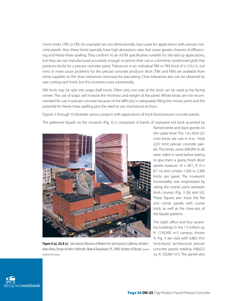Some bricks (TBS or FBS, for example) are too dimensionally inaccurate for applications with precast concrete panels. Also, these bricks typically have high absorption rates that cause greater chances of efflorescing and freeze-thaw spalling. They conform to an ASTM specification suitable for site-laid-up applications, but they are not manufactured accurately enough to permit their use in a formliner (preformed grid) that positions bricks for a precast concrete panel. Tolerances in an individual TBX or FBX brick of  $\pm$  5/32 in. ( $\pm$ 4 mm) or more cause problems for the precast concrete producer. Brick (TBX and FBX) are available from some suppliers to the close tolerances necessary for precasting. Close tolerances also can be obtained by saw-cutting each brick, but this increases costs substantially.

FBX brick may be split into soaps (half brick). Often only one side of the brick can be used as the facing veneer. The use of soaps will increase the thickness and weight of the panel. Whole bricks are not recommended for use in precast concrete because of the difficulty in adequately filling the mortar joints and the potential for freeze-thaw spalling plus the need to use mechanical anchors.

Figures 3 through 10 illustrate various projects with applications of brick-faced precast concrete panels.

The patterned façade on the museum (Fig. 3) is composed of bands of rusticated red brick accented by



**Figure 4 (a), (b) & (c)** San Francisco Museum of Modern Art, San Francisco, California; Architect: Mario Botta, Design Architect: Hellmuth, Obata & Kassabaum, P.C. (HOK) Architect of Record. (Courtesy *Perretti & Park Pictures*)

flamed white and black granite on the upper level. The 1-in.-thick (25 mm) bricks are cast in 9-in.- thick (225 mm) precast concrete panels. The bricks, some 600,000 in all, were rolled in sand before baking to give them a grainy finish. Most panels measure  $10 \times 28^{1/2}$  ft (3 x 8.7 m) and contain 1,500 to 2,300 bricks per panel. The museum's horizontality was emphasized by raking the mortar joints between brick courses (Fig. 3 [b] and [c]). These figures also show the flat and corner panels with corner brick, as well as the close-ups of the façade patterns.

The eight office and four assembly buildings in the 1.5 million sq. ft.  $(139,300 \text{ m}^2)$  campus shown in Fig. 4 are clad with 6,882 thin brick-faced architectural precast concrete panels totaling 548,623 sq. ft.  $(50,967 \text{ m}^2)$ . The panels also

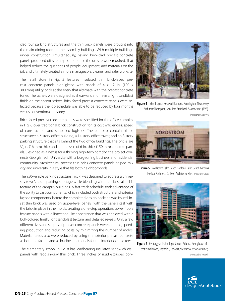clad four parking structures and the thin brick panels were brought into the main dining room in the assembly buildings. With multiple buildings under construction simultaneously, having brick-clad precast concrete panels produced off-site helped to reduce the on-site work required. That helped reduce the quantities of people, equipment, and materials on the job and ultimately created a more manageable, cleaner, and safer worksite.

The retail store in Fig. 5 features insulated thin brick-faced precast concrete panels highlighted with bands of 4 x 12 in. (100 x 300 mm) utility brick at the entry that alternate with the precast concrete tones. The panels were designed as shearwalls and have a light sandblast finish on the accent stripes. Brick-faced precast concrete panels were selected because the job schedule was able to be reduced by four months versus conventional masonry.

Brick-faced precast concrete panels were specified for the office complex in Fig. 6 over traditional brick construction for its cost efficiencies, speed of construction, and simplified logistics. The complex contains three structures: a 6-story office building, a 14-story office tower, and an 8-story parking structure that sits behind the two office buildings. The bricks are  $^{57}$  in. (16 mm) thick and are the skin of 6-in.-thick (150 mm) concrete panels. Designed as a nexus for a thriving high-tech corridor, the project connects Georgia Tech University with a burgeoning business and residential community. Architectural precast thin brick concrete panels helped mix city and university in a style that fits both neighborhoods.

The 950-vehicle parking structure (Fig. 7) was designed to address a university town's acute parking shortage while blending with the classical architecture of the campus buildings. A fast-track schedule took advantage of the ability to cast components, which included both structural and exterior façade components, before the completed design package was issued. Inset thin brick was used on upper-level panels, with the panels cast with the brick in place in the molds, creating a one-step operation. Lower floors feature panels with a limestone-like appearance that was achieved with a buff-colored finish, light sandblast texture, and detailed reveals. Only a few different sizes and shapes of precast concrete panels were required, speeding production and reducing costs by minimizing the number of molds. Material needs also were reduced by using the exterior precast concrete as both the façade and as loadbearing panels for the interior double tees.

The elementary school in Fig. 8 has loadbearing insulated sandwich wall panels with reddish-gray thin brick. Three inches of rigid extruded poly-



**Figure 4** Merrill Lynch Hopewell Campus, Pennington, New Jersey; Architect: Thompson, Venulett, Stainback & Associates (TVS) . (Photo: *Brian Gassel/TVS*)



**Figure 5** Nordstrom Palm Beach Gardens; Palm Beach Gardens, Florida; Architect: Callison Architecture Inc. *(*Photo: *Vern Smith).*



**Figure 6** Centergy at Technology Square Atlanta, Georgia; Architect: Smallwood, Reynolds, Stewart, Stewart & Associates Inc.; *(*Photo: *Gabriel Benzur.)*

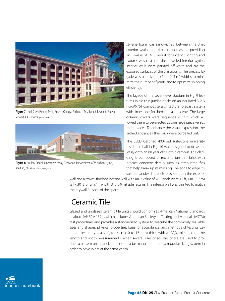

**Figure 7** Hull Street Parking Deck, Athens, Georgia; Architect: Smallwood, Reynolds, Stewart, Stewart & Associates. (Photo: *Jim Roof.*)



**Figure 8** Willow Creek Elementary School, Fleetwood, PA; Architect: AEM Architects, Inc., Reading, PA. (Photo: *AEM Architects, Inc.*)

styrene foam was sandwiched between the 3 in. exterior wythe and 4 in. interior wythe providing an R-value of 16. Conduit for exterior lighting and fixtures was cast into the troweled interior wythe. Interior walls were painted off-white and are the exposed surfaces of the classrooms. The precast façade was panelized to 14 ft (4.3 m) widths to minimize the number of joints and to optimize shipping efficiency.

The façade of the seven-level stadium in Fig. 9 features inlaid thin jumbo bricks on an insulated 3-2-3 (75-50-75) composite architectural precast system with limestone finished precast accents. The large column covers were sequentially cast which allowed them to be erected as one large piece versus three pieces. To enhance the visual expression, the arched entrances' thin brick were corbelled out.

The LEED Certified 400-bed suite-style university residence hall in Fig. 10 was designed to fit seamlessly onto an 80 year old Gothic campus. The cladding is composed of red and tan thin brick with precast concrete details such as attenuated fins that help break up its massing. The edge to edge insulated sandwich panels provide both the exterior

wall and a trowel finished interior wall with an R-value of 26. Panels were 12 ft, 4 in. (3.7 m) tall x 30 ft long (9.1 m) with 3 ft (0.9 m) side returns. The interior wall was painted to match the drywall finishes of the space.

### Ceramic Tile

Glazed and unglazed ceramic tile units should conform to American National Standards Institute (ANSI) A 137.1, which includes American Society for Testing and Materials (ASTM) test procedures and provides a standardized system to describe the commonly available sizes and shapes, physical properties, basis for acceptance, and methods of testing. Ceramic tiles are typically  $\frac{3}{8}$  to  $\frac{1}{2}$  in. (10 to 13 mm) thick, with a 1 $\frac{1}{2}$ % tolerance on the length and width measurements. When several sizes or sources of tile are used to produce a pattern on a panel, the tiles must be manufactured on a modular sizing system in order to have joints of the same width.

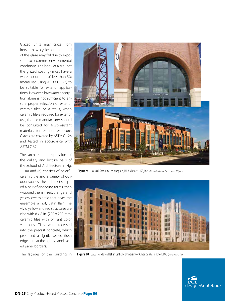Glazed units may craze from freeze-thaw cycles or the bond of the glaze may fail due to exposure to extreme environmental conditions. The body of a tile (not the glazed coating) must have a water absorption of less than 3% (measured using ASTM C 373) to be suitable for exterior applications. However, low water absorption alone is not sufficient to ensure proper selection of exterior ceramic tiles. As a result, when ceramic tile is required for exterior use, the tile manufacturer should be consulted for frost-resistant materials for exterior exposure. Glazes are covered by ASTM C 126 and tested in accordance with ASTM C 67.

The architectural expression of the gallery and lecture halls of the School of Architecture in Fig. 11 (a) and (b) consists of colorful ceramic tile and a variety of outdoor spaces. The architect sculpted a pair of engaging forms, then wrapped them in red, orange, and yellow ceramic tile that gives the ensemble a hot, Latin flair. The vivid yellow and red structures are clad with 8 x 8 in. (200 x 200 mm) ceramic tiles with brilliant color variations. Tiles were recessed into the precast concrete, which produced a tightly sealed flush edge joint at the lightly sandblasted panel borders.

The façades of the building in



**Figure 9** Lucas Oil Stadium, Indianapolis, IN. Architect: HKS, Inc.. (Photo: *Gate Precast Company and HKS, Inc.*)



**Figure 10** Opus Residence Hall at Catholic University of America, Washington, D.C. (Photo: *John C. Cole*)

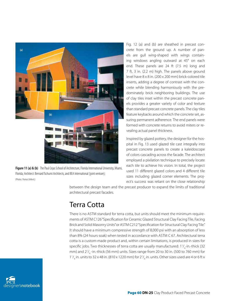

**Figure 11 (a) & (b)** The Paul Cejas School of Architecture, Florida International University, Miami, Florida; Architect: Bernard Tschumi Architects, and BEA International (joint venture); (Photos: *Thomas Delbeck*.)

Fig. 12 (a) and (b) are sheathed in precast concrete from the ground up. A number of panels are gull wing-shaped with wings containing windows angling outward at 45° on each end. These panels are 24 ft (7.5 m) long and 7 ft, 3 in. (2.2 m) high. The panels above ground level have 8 x 8 in. (200 x 200 mm) brick-colored tile inserts, adding a degree of contrast with the concrete while blending harmoniously with the predominately brick neighboring buildings. The use of clay tiles inset within the precast concrete panels provides a greater variety of color and texture than standard precast concrete panels. The clay tiles feature keybacks around which the concrete set, assuring permanent adherence. The end panels were formed with concrete returns to avoid miters or revealing actual panel thickness.

Inspired by glazed pottery, the designer for the hospital in Fig. 13 used glazed tile cast integrally into precast concrete panels to create a kaleidoscope of colors cascading across the facade. The architect employed a pixilation technique to precisely locate each tile to achieve his vision. In total, the project used 11 different glazed colors and 4 different tile sizes including glazed corner elements. The project's success was reliant on the close relationship

between the design team and the precast producer to expand the limits of traditional architectural precast facades.

# Terra Cotta

There is no ASTM standard for terra cotta, but units should meet the minimum requirements of ASTM C126 "Specification for Ceramic Glazed Structural Clay Facing Tile, Facing Brick and Solid Masonry Units" or ASTM C212 "Specification for Structural Clay Facing Tile." It should have a minimum compressive strength of 8,000 psi with an absorption of less than 8% (24 hours soak) when tested in accordance with ASTM C 67. Architectural terra cotta is a custom-made product and, within certain limitations, is produced in sizes for specific jobs. Two thicknesses of terra cotta are usually manufactured:  $1^1\text{/}_4$ -in.-thick (32 mm) and  $2^1\frac{1}{4}$ -in.-thick (56 mm) units. Sizes range from 20 to 30 in. (500 to 760 mm) for  $1\frac{1}{4}$  in. units to 32 x 48 in. (810 x 1220 mm) for 2 $\frac{1}{4}$  in. units. Other sizes used are 4 or 6 ft x

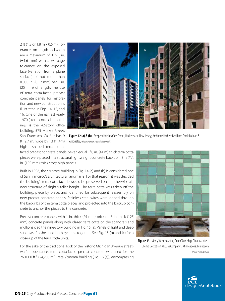2 ft (1.2 or 1.8 m x 0.6 m). Tolerances on length and width are a maximum of  $\pm$   $\frac{1}{16}$  in. (±1.6 mm) with a warpage tolerance on the exposed face (variation from a plane surface) of not more than 0.005 in. (0.12 mm) per 1 in. (25 mm) of length. The use of terra cotta-faced precast concrete panels for restoration and new construction is illustrated in Figs. 14, 15, and 16. One of the earliest (early 1970s) terra cotta clad buildings is the 42-story office building, 575 Market Street, San Francisco, Calif. It has 9 ft (2.7 m) wide by 13 ft (4m) high L-shaped terra cotta-



**Figure 12 (a) & (b)** Prospect Heights Care Center, Hackensack, New Jersey; Architect: Herbert Beckhard Frank Richlan & Associates; (Photos: *Norman McGrath Photograph.*)

faced precast concrete panels. Seven equal 1<sup>3</sup>/<sub>4</sub> in. (44 m) thick terra cotta pieces were placed in a structural lightweight concrete backup in the 7 $\frac{1}{2}$ in. (190 mm) thick story high panels.

Built in 1906, the six-story building in Fig. 14 (a) and (b) is considered one of San Francisco's architectural landmarks. For that reason, it was decided the building's terra cotta façade would be preserved on an otherwise allnew structure of slightly taller height. The terra cotta was taken off the building, piece by piece, and identified for subsequent reassembly on new precast concrete panels. Stainless steel wires were looped through the back ribs of the terra cotta pieces and projected into the backup concrete to anchor the pieces to the concrete.

Precast concrete panels with 1-in.-thick (25 mm) brick on 5-in.-thick (125 mm) concrete panels along with glazed terra cotta on the spandrels and mullions clad the nine-story building in Fig. 15 (a). Panels of light and deep sandblast finishes tied both systems together. See Fig. 15 (b) and (c) for a close-up of the terra cotta units.

For the sake of the traditional look of the historic Michigan Avenue streetwall's appearance, terra cotta-faced precast concrete was used for the 260,000 ft<sup>2</sup> (24,200 m<sup>2</sup>) retail/cinema building (Fig. 16 [a]), encompassing



**Figure 13** Mercy West Hospital, Green Township, Ohio; Architect: Ellerbe Becket (an AECOM Company), Minneapolis, Minnesota;

*(*Photo: *Randy Wilson).*

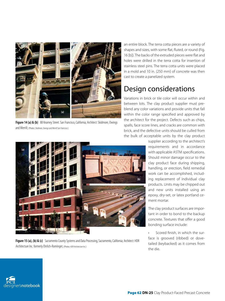

**Figure 14 (a) & (b)** 88 Kearney Street. San Francisco, California; Architect: Skidmore, Owings and Merrill; (Photos: *Skidmore, Owings and Merrill San Francisco*.)

an entire block. The terra cotta pieces are a variety of shapes and sizes, with some flat, fluted, or round (Fig. 16 [b]). The backs of the extruded pieces were flat and holes were drilled in the terra cotta for insertion of stainless steel pins. The terra cotta units were placed in a mold and 10 in. (250 mm) of concrete was then cast to create a panelized system.

## Design considerations

Variations in brick or tile color will occur within and between lots. The clay product supplier must preblend any color variations and provide units that fall within the color range specified and approved by the architect for the project. Defects such as chips, spalls, face score lines, and cracks are common with brick, and the defective units should be culled from the bulk of acceptable units by the clay product

> supplier according to the architect's requirements and in accordance with applicable ASTM specifications. Should minor damage occur to the clay product face during shipping, handling, or erection, field remedial work can be accomplished, including replacement of individual clay products. Units may be chipped out and new units installed using an epoxy, dry-set, or latex portland cement mortar.

> The clay product surfaces are important in order to bond to the backup concrete. Textures that offer a good bonding surface include:

> Scored finish, in which the surface is grooved (ribbed) or dovetailed (keybacked) as it comes from the die.





**Figure 15 (a), (b) & (c)** Sacramento County Systems and Data Processing, Sacramento, California; Architect: HDR Architecture Inc. formerly Ehrlich-Rominger; (Photos: *HDR Architecture Inc*.)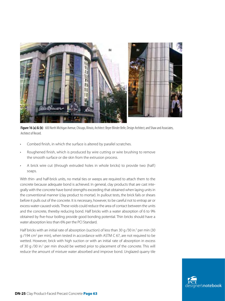

Figure 16 (a) & (b) 600 North Michigan Avenue, Chicago, Illinois; Architect: Beyer Blinder Belle, Design Architect; and Shaw and Associates, Architect of Record.

- Combed finish, in which the surface is altered by parallel scratches.
- Roughened finish, which is produced by wire cutting or wire brushing to remove the smooth surface or die skin from the extrusion process.
- A brick wire cut (through extruded holes in whole bricks) to provide two (half) soaps.

With thin- and half-brick units, no metal ties or weeps are required to attach them to the concrete because adequate bond is achieved. In general, clay products that are cast integrally with the concrete have bond strengths exceeding that obtained when laying units in the conventional manner (clay product to mortar). In pullout tests, the brick fails or shears before it pulls out of the concrete. It is necessary, however, to be careful not to entrap air or excess water-caused voids. These voids could reduce the area of contact between the units and the concrete, thereby reducing bond. Half bricks with a water absorption of 6 to 9% obtained by five-hour boiling provide good bonding potential. Thin bricks should have a water absorption less than 6% per the PCI Standard.

Half bricks with an initial rate of absorption (suction) of less than 30 g /30 in.<sup>2</sup> per min (30 g /194 cm<sup>2</sup> per min), when tested in accordance with ASTM C 67, are not required to be wetted. However, brick with high suction or with an initial rate of absorption in excess of 30 g /30 in.<sup>2</sup> per min should be wetted prior to placement of the concrete. This will reduce the amount of mixture water absorbed and improve bond. Unglazed quarry tile

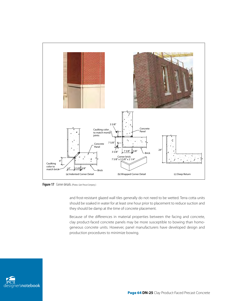

**Figure 17** Corner details. (Photos: *Gate Precast Company*.)

and frost-resistant glazed wall tiles generally do not need to be wetted. Terra cotta units should be soaked in water for at least one hour prior to placement to reduce suction and they should be damp at the time of concrete placement.

Because of the differences in material properties between the facing and concrete, clay product-faced concrete panels may be more susceptible to bowing than homogeneous concrete units. However, panel manufacturers have developed design and production procedures to minimize bowing.

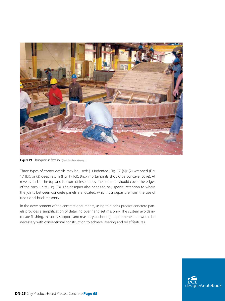

**Figure 19** Placing units in form liner (Photo: *Gate Precast Company*.)

Three types of corner details may be used: (1) indented (Fig. 17 [a]); (2) wrapped (Fig. 17 [b]); or (3) deep return (Fig. 17 [c]). Brick mortar joints should be concave (cove). At reveals and at the top and bottom of inset areas, the concrete should cover the edges of the brick units (Fig. 18). The designer also needs to pay special attention to where the joints between concrete panels are located, which is a departure from the use of traditional brick masonry.

In the development of the contract documents, using thin brick precast concrete panels provides a simplification of detailing over hand set masonry. The system avoids intricate flashing, masonry support, and masonry anchoring requirements that would be necessary with conventional construction to achieve layering and relief features.

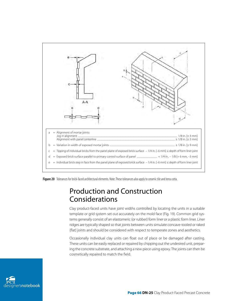

**Figure 20** Tolerances for brick-faced architectural elements. Note: These tolerances also apply to ceramic tile and terra cotta.

#### Production and Construction Considerations

Clay product-faced units have joint widths controlled by locating the units in a suitable template or grid system set out accurately on the mold face (Fig. 19). Common grid systems generally consist of an elastomeric (or rubber) form liner or a plastic form liner. Liner ridges are typically shaped so that joints between units simulate concave-tooled or raked (flat) joints and should be considered with respect to temperate zones and aesthetics.

Occasionally individual clay units can float out of place or be damaged after casting. These units can be easily replaced or repaired by chipping out the undesired unit, preparing the concrete substrate, and attaching a new piece using epoxy. The joints can then be cosmetically repaired to match the field.

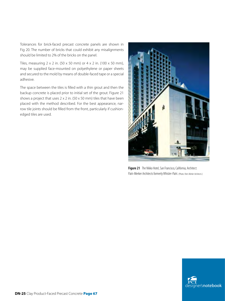Tolerances for brick-faced precast concrete panels are shown in Fig 20. The number of bricks that could exhibit any misalignments should be limited to 2% of the bricks on the panel.

Tiles, measuring  $2 \times 2$  in. (50  $\times$  50 mm) or  $4 \times 2$  in. (100  $\times$  50 mm), may be supplied face-mounted on polyethylene or paper sheets and secured to the mold by means of double-faced tape or a special adhesive.

The space between the tiles is filled with a thin grout and then the backup concrete is placed prior to initial set of the grout. Figure 21 shows a project that uses  $2 \times 2$  in. (50  $\times$  50 mm) tiles that have been placed with the method described. For the best appearance, narrow tile joints should be filled from the front, particularly if cushionedged tiles are used.



**Figure 21** The Nikko Hotel, San Francisco, California; Architect: Patri-Merker Architects formerly Whisler-Patri. (Photo: *Patri-Merker Architects.*)

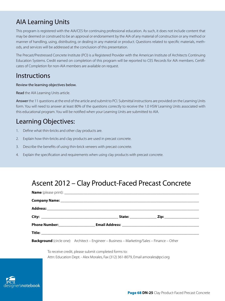#### AIA Learning Units

This program is registered with the AIA/CES for continuing professional education. As such, it does not include content that may be deemed or construed to be an approval or endorsement by the AIA of any material of construction or any method or manner of handling, using, distributing, or dealing in any material or product. Questions related to specific materials, methods, and services will be addressed at the conclusion of this presentation.

The Precast/Prestressed Concrete Institute (PCI) is a Registered Provider with the American Institute of Architects Continuing Education Systems. Credit earned on completion of this program will be reported to CES Records for AIA members. Certificates of Completion for non-AIA members are available on request.

#### **Instructions**

#### Review the learning objectives below.

Read the AIA Learning Units article.

Answer the 11 questions at the end of the article and submit to PCI. Submittal instructions are provided on the Learning Units form. You will need to answer at least 80% of the questions correctly to receive the 1.0 HSW Learning Units associated with this educational program. You will be notified when your Learning Units are submitted to AIA.

#### Learning Objectives:

- 1. Define what thin-bricks and other clay products are.
- 2. Explain how thin-bricks and clay products are used in precast concrete.
- 3. Describe the benefits of using thin-brick veneers with precast concrete.
- 4. Explain the specification and requirements when using clay products with precast concrete.

### Ascent 2012 – Clay Product-Faced Precast Concrete

**Background** (circle one): Architect – Engineer – Business – Marketing/Sales – Finance – Other

To receive credit, please submit completed forms to: Attn: Education Dept. - Alex Morales, Fax (312) 361-8079, Email amorales@pci.org

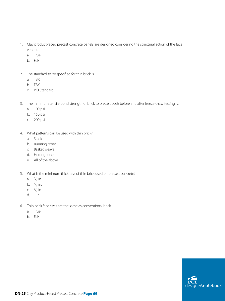- 1. Clay product-faced precast concrete panels are designed considering the structural action of the face veneer.
	- a. True
	- b. False
- 2. The standard to be specified for thin brick is:
	- a. TBX
	- b. FBX
	- c. PCI Standard
- 3. The minimum tensile bond strength of brick to precast both before and after freeze-thaw testing is:
	- a. 100 psi
	- b. 150 psi
	- c. 200 psi
- 4. What patterns can be used with thin brick?
	- a. Stack
	- b. Running bond
	- c. Basket weave
	- d. Herringbone
	- e. All of the above
- 5. What is the minimum thickness of thin brick used on precast concrete?
	- a.  $\frac{3}{8}$  in.
	- b.  $\frac{1}{2}$  in.
	- c.  $\frac{3}{4}$  in.
	- d. 1 in.
- 6. Thin brick face sizes are the same as conventional brick.
	- a. True
	- b. False